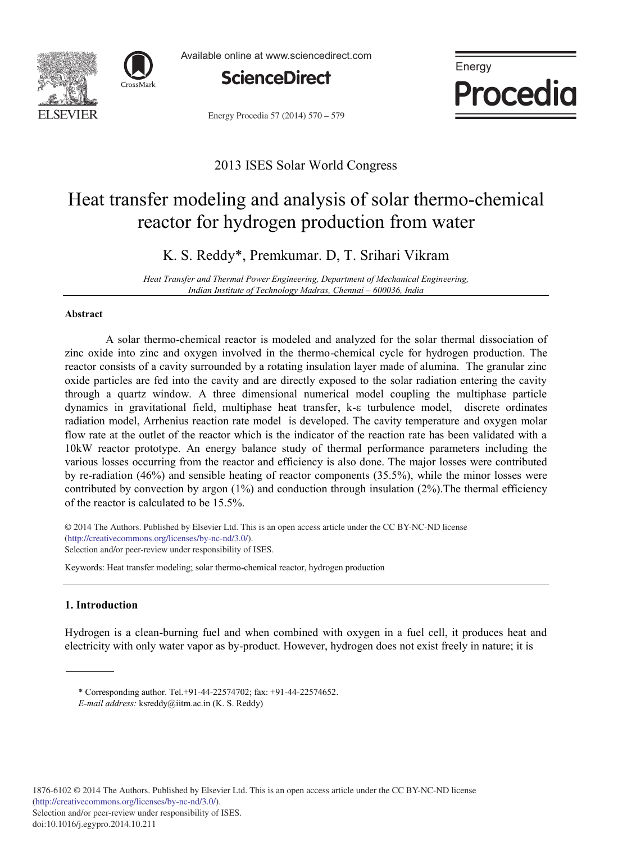



Available online at www.sciencedirect.com



Energy Procedia 57 (2014) 570 - 579



# 2013 ISES Solar World Congress

# Heat transfer modeling and analysis of solar thermo-chemical reactor for hydrogen production from water

K. S. Reddy\*, Premkumar. D, T. Srihari Vikram

*Heat Transfer and Thermal Power Engineering, Department of Mechanical Engineering, Indian Institute of Technology Madras, Chennai – 600036, India*

#### **Abstract**

A solar thermo-chemical reactor is modeled and analyzed for the solar thermal dissociation of zinc oxide into zinc and oxygen involved in the thermo-chemical cycle for hydrogen production. The reactor consists of a cavity surrounded by a rotating insulation layer made of alumina. The granular zinc oxide particles are fed into the cavity and are directly exposed to the solar radiation entering the cavity through a quartz window. A three dimensional numerical model coupling the multiphase particle dynamics in gravitational field, multiphase heat transfer, k- $\epsilon$  turbulence model, discrete ordinates radiation model, Arrhenius reaction rate model is developed. The cavity temperature and oxygen molar flow rate at the outlet of the reactor which is the indicator of the reaction rate has been validated with a 10kW reactor prototype. An energy balance study of thermal performance parameters including the various losses occurring from the reactor and efficiency is also done. The major losses were contributed by re-radiation (46%) and sensible heating of reactor components (35.5%), while the minor losses were contributed by convection by argon  $(1%)$  and conduction through insulation  $(2%)$ . The thermal efficiency of the reactor is calculated to be 15.5%.

© 2013 The Authors. Published by Elsevier Ltd. © 2014 The Authors. Published by Elsevier Ltd. This is an open access article under the CC BY-NC-ND license (http://creativecommons.org/licenses/by-nc-nd/3.0/). Selection and/or peer-review under responsibility of ISES.

Keywords: Heat transfer modeling; solar thermo-chemical reactor, hydrogen production

# **1. Introduction**

Hydrogen is a clean-burning fuel and when combined with oxygen in a fuel cell, it produces heat and electricity with only water vapor as by-product. However, hydrogen does not exist freely in nature; it is

<sup>\*</sup> Corresponding author. Tel.+91-44-22574702; fax: +91-44-22574652.

*E-mail address:* ksreddy@iitm.ac.in (K. S. Reddy)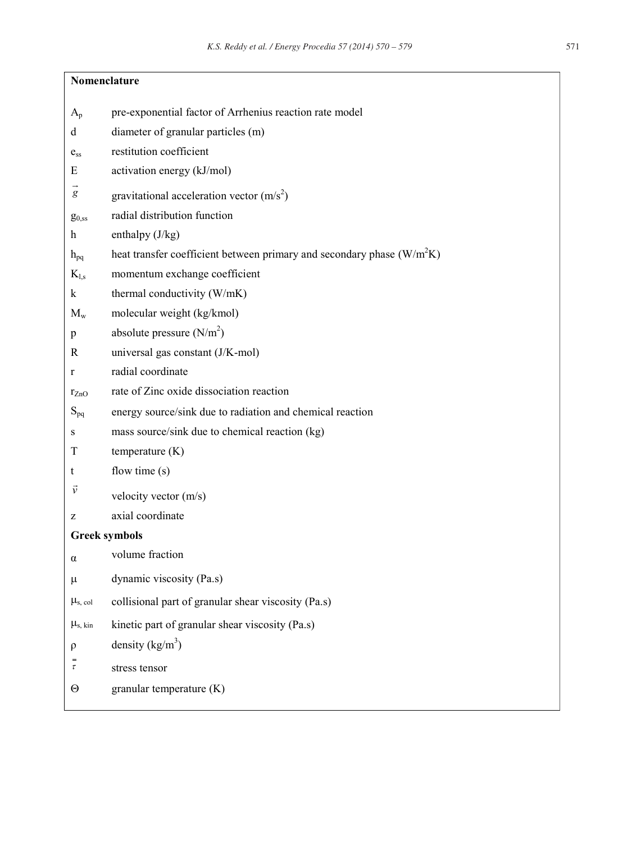| Nomenclature         |                                                                         |
|----------------------|-------------------------------------------------------------------------|
| $A_{p}$              | pre-exponential factor of Arrhenius reaction rate model                 |
| d                    | diameter of granular particles (m)                                      |
| $e_{ss}$             | restitution coefficient                                                 |
| E                    | activation energy (kJ/mol)                                              |
| g                    | gravitational acceleration vector $(m/s2)$                              |
| $g_{0,ss}$           | radial distribution function                                            |
| h                    | enthalpy $(J/kg)$                                                       |
| $h_{pq}$             | heat transfer coefficient between primary and secondary phase $(W/m2K)$ |
| $K_{l,s}$            | momentum exchange coefficient                                           |
| $\bf k$              | thermal conductivity (W/mK)                                             |
| $M_{w}$              | molecular weight (kg/kmol)                                              |
| p                    | absolute pressure $(N/m2)$                                              |
| R                    | universal gas constant (J/K-mol)                                        |
| r                    | radial coordinate                                                       |
| $r_{ZnO}$            | rate of Zinc oxide dissociation reaction                                |
| $S_{pq}$             | energy source/sink due to radiation and chemical reaction               |
| S                    | mass source/sink due to chemical reaction (kg)                          |
| T                    | temperature $(K)$                                                       |
| t                    | flow time $(s)$                                                         |
| $\vec{v}$            | velocity vector $(m/s)$                                                 |
| z                    | axial coordinate                                                        |
| <b>Greek symbols</b> |                                                                         |
| $\alpha$             | volume fraction                                                         |
| μ                    | dynamic viscosity (Pa.s)                                                |
| $\mu_{s, col}$       | collisional part of granular shear viscosity (Pa.s)                     |
| $\mu_{s, kin}$       | kinetic part of granular shear viscosity (Pa.s)                         |
| ρ                    | density $(kg/m^3)$                                                      |
| τ                    | stress tensor                                                           |
| Θ                    | granular temperature (K)                                                |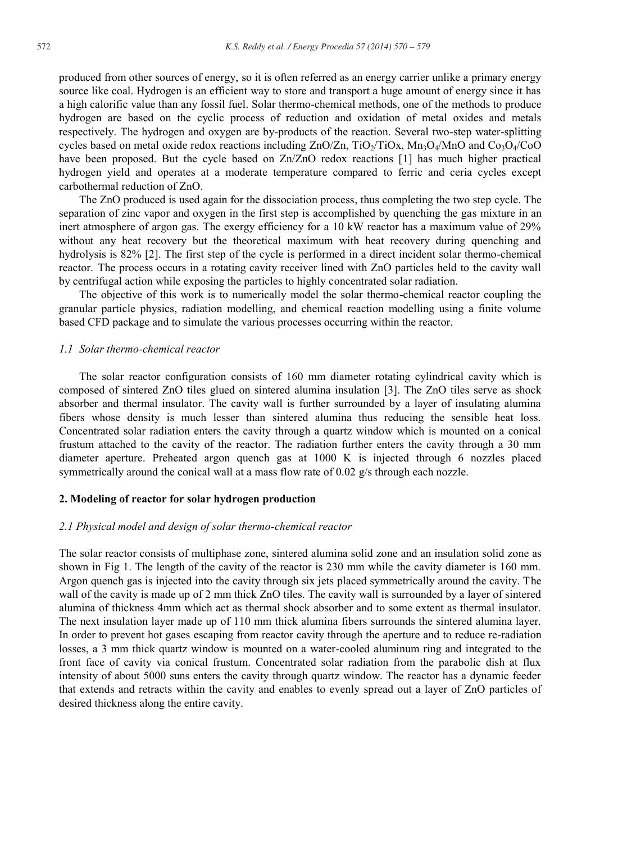produced from other sources of energy, so it is often referred as an energy carrier unlike a primary energy source like coal. Hydrogen is an efficient way to store and transport a huge amount of energy since it has a high calorific value than any fossil fuel. Solar thermo-chemical methods, one of the methods to produce hydrogen are based on the cyclic process of reduction and oxidation of metal oxides and metals respectively. The hydrogen and oxygen are by-products of the reaction. Several two-step water-splitting cycles based on metal oxide redox reactions including  $ZnO/Zn$ ,  $TiO<sub>2</sub>/TiOx$ ,  $Mn_3O<sub>4</sub>/MnO$  and  $Co<sub>3</sub>O<sub>4</sub>/CoO$ have been proposed. But the cycle based on Zn/ZnO redox reactions [1] has much higher practical hydrogen yield and operates at a moderate temperature compared to ferric and ceria cycles except carbothermal reduction of ZnO.

The ZnO produced is used again for the dissociation process, thus completing the two step cycle. The separation of zinc vapor and oxygen in the first step is accomplished by quenching the gas mixture in an inert atmosphere of argon gas. The exergy efficiency for a 10 kW reactor has a maximum value of 29% without any heat recovery but the theoretical maximum with heat recovery during quenching and hydrolysis is 82% [2]. The first step of the cycle is performed in a direct incident solar thermo-chemical reactor. The process occurs in a rotating cavity receiver lined with ZnO particles held to the cavity wall by centrifugal action while exposing the particles to highly concentrated solar radiation.

The objective of this work is to numerically model the solar thermo-chemical reactor coupling the granular particle physics, radiation modelling, and chemical reaction modelling using a finite volume based CFD package and to simulate the various processes occurring within the reactor.

#### *1.1 Solar thermo-chemical reactor*

The solar reactor configuration consists of 160 mm diameter rotating cylindrical cavity which is composed of sintered ZnO tiles glued on sintered alumina insulation [3]. The ZnO tiles serve as shock absorber and thermal insulator. The cavity wall is further surrounded by a layer of insulating alumina fibers whose density is much lesser than sintered alumina thus reducing the sensible heat loss. Concentrated solar radiation enters the cavity through a quartz window which is mounted on a conical frustum attached to the cavity of the reactor. The radiation further enters the cavity through a 30 mm diameter aperture. Preheated argon quench gas at 1000 K is injected through 6 nozzles placed symmetrically around the conical wall at a mass flow rate of 0.02 g/s through each nozzle.

#### **2. Modeling of reactor for solar hydrogen production**

#### *2.1 Physical model and design of solar thermo-chemical reactor*

The solar reactor consists of multiphase zone, sintered alumina solid zone and an insulation solid zone as shown in Fig 1. The length of the cavity of the reactor is 230 mm while the cavity diameter is 160 mm. Argon quench gas is injected into the cavity through six jets placed symmetrically around the cavity. The wall of the cavity is made up of 2 mm thick ZnO tiles. The cavity wall is surrounded by a layer of sintered alumina of thickness 4mm which act as thermal shock absorber and to some extent as thermal insulator. The next insulation layer made up of 110 mm thick alumina fibers surrounds the sintered alumina layer. In order to prevent hot gases escaping from reactor cavity through the aperture and to reduce re-radiation losses, a 3 mm thick quartz window is mounted on a water-cooled aluminum ring and integrated to the front face of cavity via conical frustum. Concentrated solar radiation from the parabolic dish at flux intensity of about 5000 suns enters the cavity through quartz window. The reactor has a dynamic feeder that extends and retracts within the cavity and enables to evenly spread out a layer of ZnO particles of desired thickness along the entire cavity.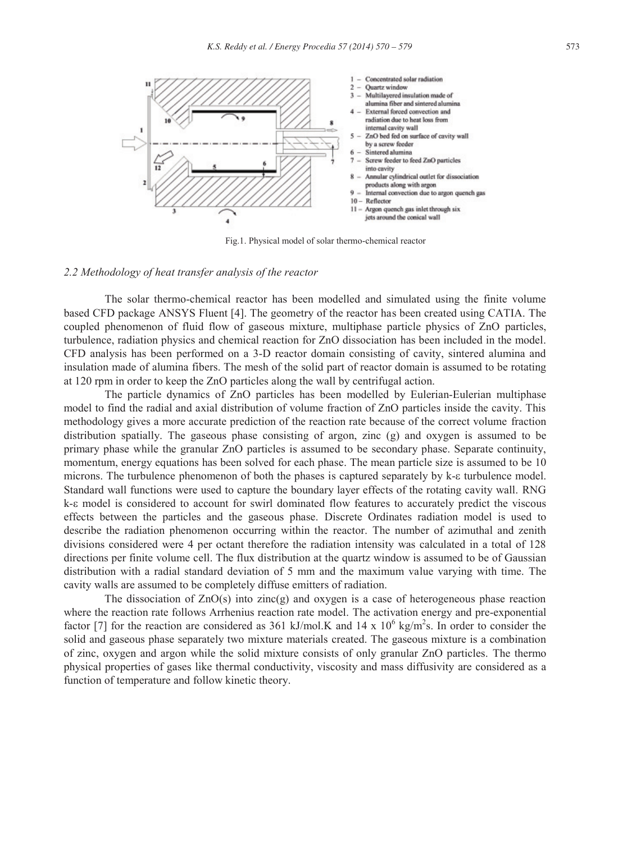

Fig.1. Physical model of solar thermo-chemical reactor

#### *2.2 Methodology of heat transfer analysis of the reactor*

The solar thermo-chemical reactor has been modelled and simulated using the finite volume based CFD package ANSYS Fluent [4]. The geometry of the reactor has been created using CATIA. The coupled phenomenon of fluid flow of gaseous mixture, multiphase particle physics of ZnO particles, turbulence, radiation physics and chemical reaction for ZnO dissociation has been included in the model. CFD analysis has been performed on a 3-D reactor domain consisting of cavity, sintered alumina and insulation made of alumina fibers. The mesh of the solid part of reactor domain is assumed to be rotating at 120 rpm in order to keep the ZnO particles along the wall by centrifugal action.

The particle dynamics of ZnO particles has been modelled by Eulerian-Eulerian multiphase model to find the radial and axial distribution of volume fraction of ZnO particles inside the cavity. This methodology gives a more accurate prediction of the reaction rate because of the correct volume fraction distribution spatially. The gaseous phase consisting of argon, zinc (g) and oxygen is assumed to be primary phase while the granular ZnO particles is assumed to be secondary phase. Separate continuity, momentum, energy equations has been solved for each phase. The mean particle size is assumed to be 10 microns. The turbulence phenomenon of both the phases is captured separately by k- $\epsilon$  turbulence model. Standard wall functions were used to capture the boundary layer effects of the rotating cavity wall. RNG  $k-\epsilon$  model is considered to account for swirl dominated flow features to accurately predict the viscous effects between the particles and the gaseous phase. Discrete Ordinates radiation model is used to describe the radiation phenomenon occurring within the reactor. The number of azimuthal and zenith divisions considered were 4 per octant therefore the radiation intensity was calculated in a total of 128 directions per finite volume cell. The flux distribution at the quartz window is assumed to be of Gaussian distribution with a radial standard deviation of 5 mm and the maximum value varying with time. The cavity walls are assumed to be completely diffuse emitters of radiation.

The dissociation of  $ZnO(s)$  into zinc(g) and oxygen is a case of heterogeneous phase reaction where the reaction rate follows Arrhenius reaction rate model. The activation energy and pre-exponential factor [7] for the reaction are considered as 361 kJ/mol.K and 14 x  $10^6$  kg/m<sup>2</sup>s. In order to consider the solid and gaseous phase separately two mixture materials created. The gaseous mixture is a combination of zinc, oxygen and argon while the solid mixture consists of only granular ZnO particles. The thermo physical properties of gases like thermal conductivity, viscosity and mass diffusivity are considered as a function of temperature and follow kinetic theory.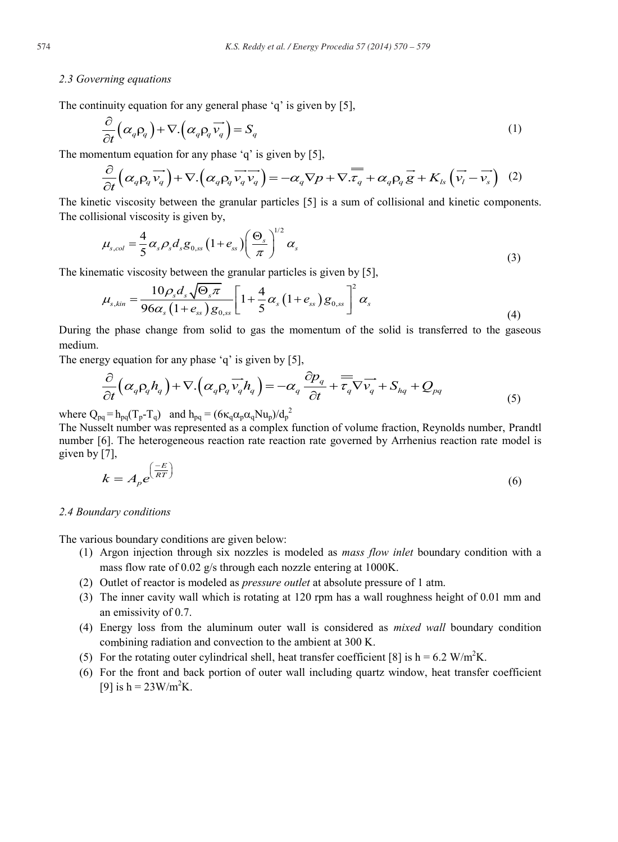# *2.3 Governing equations*

The continuity equation for any general phase 'q' is given by [5],

$$
\frac{\partial}{\partial t} \left( \alpha_q \rho_q \right) + \nabla \left( \alpha_q \rho_q \overrightarrow{v_q} \right) = S_q \tag{1}
$$

The momentum equation for any phase 'q' is given by [5],

$$
\frac{\partial}{\partial t} \left( \alpha_q \rho_q \overrightarrow{v_q} \right) + \nabla \left( \alpha_q \rho_q \overrightarrow{v_q} \overrightarrow{v_q} \right) = -\alpha_q \nabla p + \nabla \overrightarrow{x_q} + \alpha_q \rho_q \overrightarrow{g} + K_{ls} \left( \overrightarrow{v_l} - \overrightarrow{v_s} \right) \tag{2}
$$

The kinetic viscosity between the granular particles [5] is a sum of collisional and kinetic components. The collisional viscosity is given by,

$$
\mu_{s,col} = \frac{4}{5} \alpha_s \rho_s d_s g_{0,ss} \left( 1 + e_{ss} \right) \left( \frac{\Theta_s}{\pi} \right)^{1/2} \alpha_s \tag{3}
$$

The kinematic viscosity between the granular particles is given by [5],

$$
\mu_{s,kin} = \frac{10\rho_s d_s \sqrt{\Theta_s \pi}}{96\alpha_s \left(1 + e_{ss}\right)g_{0,ss}} \left[1 + \frac{4}{5}\alpha_s \left(1 + e_{ss}\right)g_{0,ss}\right]^2 \alpha_s
$$
\n(4)

During the phase change from solid to gas the momentum of the solid is transferred to the gaseous medium.

The energy equation for any phase 'q' is given by [5],

$$
\frac{\partial}{\partial t} \left( \alpha_q \rho_q h_q \right) + \nabla \left( \alpha_q \rho_q \overrightarrow{v_q} h_q \right) = -\alpha_q \frac{\partial p_q}{\partial t} + \overrightarrow{\tau_q} \nabla \overrightarrow{v_q} + S_{hq} + Q_{pq} \tag{5}
$$

where  $Q_{pq} = h_{pq}(T_p - T_q)$  and  $h_{pq} = (6\kappa_q \alpha_p \alpha_q Nu_p)/d_p^2$ 

The Nusselt number was represented as a complex function of volume fraction, Reynolds number, Prandtl number [6]. The heterogeneous reaction rate reaction rate governed by Arrhenius reaction rate model is given by [7],

$$
k = A_p e^{\left(\frac{-E}{RT}\right)}\tag{6}
$$

#### *2.4 Boundary conditions*

The various boundary conditions are given below:

- (1) Argon injection through six nozzles is modeled as *mass flow inlet* boundary condition with a mass flow rate of 0.02 g/s through each nozzle entering at 1000K.
- (2) Outlet of reactor is modeled as *pressure outlet* at absolute pressure of 1 atm.
- (3) The inner cavity wall which is rotating at 120 rpm has a wall roughness height of 0.01 mm and an emissivity of 0.7.
- (4) Energy loss from the aluminum outer wall is considered as *mixed wall* boundary condition combining radiation and convection to the ambient at 300 K.
- (5) For the rotating outer cylindrical shell, heat transfer coefficient [8] is  $h = 6.2$  W/m<sup>2</sup>K.
- (6) For the front and back portion of outer wall including quartz window, heat transfer coefficient [9] is  $h = 23W/m^2K$ .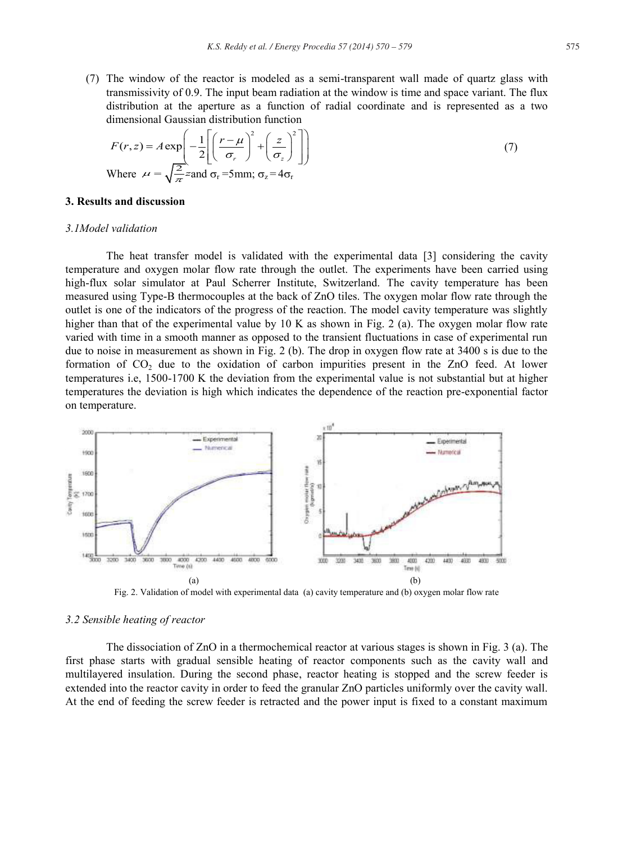(7) The window of the reactor is modeled as a semi-transparent wall made of quartz glass with transmissivity of 0.9. The input beam radiation at the window is time and space variant. The flux distribution at the aperture as a function of radial coordinate and is represented as a two dimensional Gaussian distribution function

$$
F(r, z) = A \exp\left(-\frac{1}{2} \left[ \left(\frac{r - \mu}{\sigma_r}\right)^2 + \left(\frac{z}{\sigma_z}\right)^2 \right] \right)
$$
  
Where  $\mu = \sqrt{\frac{2}{\pi}} z$  and  $\sigma_r$  =5mm;  $\sigma_z = 4\sigma_r$  (7)

#### **3. Results and discussion**

# *3.1Model validation*

The heat transfer model is validated with the experimental data [3] considering the cavity temperature and oxygen molar flow rate through the outlet. The experiments have been carried using high-flux solar simulator at Paul Scherrer Institute, Switzerland. The cavity temperature has been measured using Type-B thermocouples at the back of ZnO tiles. The oxygen molar flow rate through the outlet is one of the indicators of the progress of the reaction. The model cavity temperature was slightly higher than that of the experimental value by 10 K as shown in Fig. 2 (a). The oxygen molar flow rate varied with time in a smooth manner as opposed to the transient fluctuations in case of experimental run due to noise in measurement as shown in Fig. 2 (b). The drop in oxygen flow rate at 3400 s is due to the formation of  $CO<sub>2</sub>$  due to the oxidation of carbon impurities present in the ZnO feed. At lower temperatures i.e, 1500-1700 K the deviation from the experimental value is not substantial but at higher temperatures the deviation is high which indicates the dependence of the reaction pre-exponential factor on temperature.



Fig. 2. Validation of model with experimental data (a) cavity temperature and (b) oxygen molar flow rate

#### *3.2 Sensible heating of reactor*

The dissociation of ZnO in a thermochemical reactor at various stages is shown in Fig. 3 (a). The first phase starts with gradual sensible heating of reactor components such as the cavity wall and multilayered insulation. During the second phase, reactor heating is stopped and the screw feeder is extended into the reactor cavity in order to feed the granular ZnO particles uniformly over the cavity wall. At the end of feeding the screw feeder is retracted and the power input is fixed to a constant maximum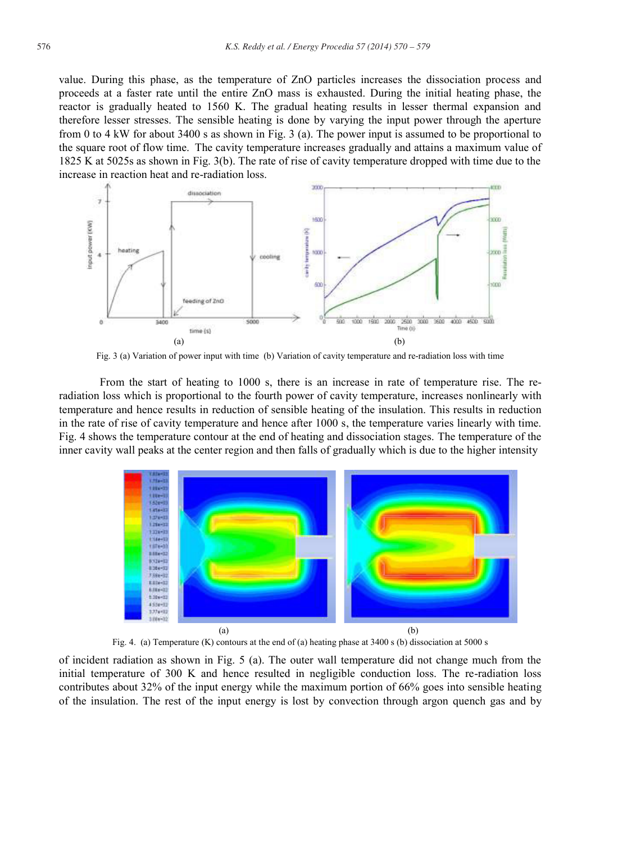value. During this phase, as the temperature of ZnO particles increases the dissociation process and proceeds at a faster rate until the entire ZnO mass is exhausted. During the initial heating phase, the reactor is gradually heated to 1560 K. The gradual heating results in lesser thermal expansion and therefore lesser stresses. The sensible heating is done by varying the input power through the aperture from 0 to 4 kW for about 3400 s as shown in Fig. 3 (a). The power input is assumed to be proportional to the square root of flow time. The cavity temperature increases gradually and attains a maximum value of 1825 K at 5025s as shown in Fig. 3(b). The rate of rise of cavity temperature dropped with time due to the increase in reaction heat and re-radiation loss.



Fig. 3 (a) Variation of power input with time (b) Variation of cavity temperature and re-radiation loss with time

From the start of heating to 1000 s, there is an increase in rate of temperature rise. The reradiation loss which is proportional to the fourth power of cavity temperature, increases nonlinearly with temperature and hence results in reduction of sensible heating of the insulation. This results in reduction in the rate of rise of cavity temperature and hence after 1000 s, the temperature varies linearly with time. Fig. 4 shows the temperature contour at the end of heating and dissociation stages. The temperature of the inner cavity wall peaks at the center region and then falls of gradually which is due to the higher intensity



Fig. 4. (a) Temperature (K) contours at the end of (a) heating phase at 3400 s (b) dissociation at 5000 s

of incident radiation as shown in Fig. 5 (a). The outer wall temperature did not change much from the initial temperature of 300 K and hence resulted in negligible conduction loss. The re-radiation loss contributes about 32% of the input energy while the maximum portion of 66% goes into sensible heating of the insulation. The rest of the input energy is lost by convection through argon quench gas and by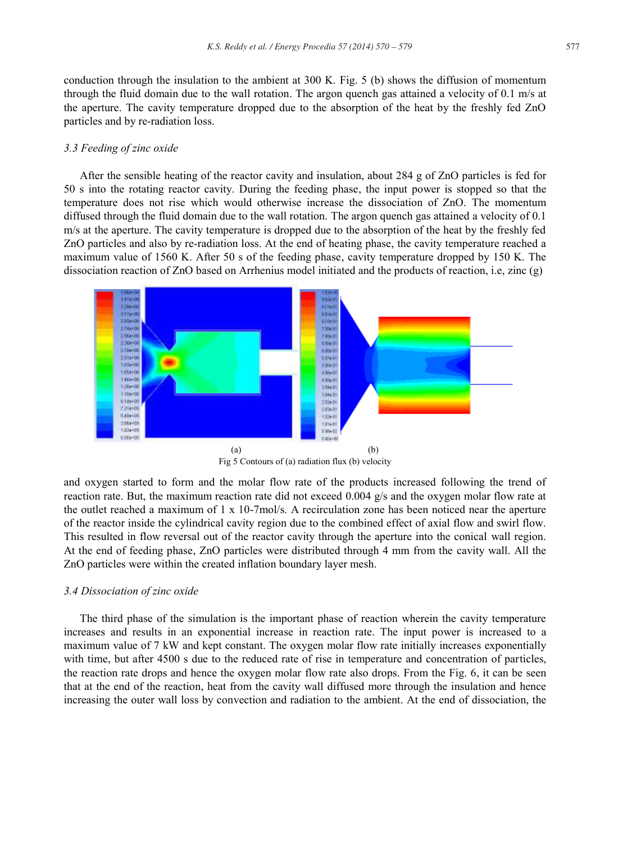conduction through the insulation to the ambient at 300 K. Fig. 5 (b) shows the diffusion of momentum through the fluid domain due to the wall rotation. The argon quench gas attained a velocity of 0.1 m/s at the aperture. The cavity temperature dropped due to the absorption of the heat by the freshly fed ZnO particles and by re-radiation loss.

# *3.3 Feeding of zinc oxide*

After the sensible heating of the reactor cavity and insulation, about 284 g of ZnO particles is fed for 50 s into the rotating reactor cavity. During the feeding phase, the input power is stopped so that the temperature does not rise which would otherwise increase the dissociation of ZnO. The momentum diffused through the fluid domain due to the wall rotation. The argon quench gas attained a velocity of 0.1 m/s at the aperture. The cavity temperature is dropped due to the absorption of the heat by the freshly fed ZnO particles and also by re-radiation loss. At the end of heating phase, the cavity temperature reached a maximum value of 1560 K. After 50 s of the feeding phase, cavity temperature dropped by 150 K. The dissociation reaction of ZnO based on Arrhenius model initiated and the products of reaction, i.e, zinc (g)



Fig 5 Contours of (a) radiation flux (b) velocity

and oxygen started to form and the molar flow rate of the products increased following the trend of reaction rate. But, the maximum reaction rate did not exceed 0.004 g/s and the oxygen molar flow rate at the outlet reached a maximum of 1 x 10-7mol/s. A recirculation zone has been noticed near the aperture of the reactor inside the cylindrical cavity region due to the combined effect of axial flow and swirl flow. This resulted in flow reversal out of the reactor cavity through the aperture into the conical wall region. At the end of feeding phase, ZnO particles were distributed through 4 mm from the cavity wall. All the ZnO particles were within the created inflation boundary layer mesh.

#### *3.4 Dissociation of zinc oxide*

The third phase of the simulation is the important phase of reaction wherein the cavity temperature increases and results in an exponential increase in reaction rate. The input power is increased to a maximum value of 7 kW and kept constant. The oxygen molar flow rate initially increases exponentially with time, but after 4500 s due to the reduced rate of rise in temperature and concentration of particles, the reaction rate drops and hence the oxygen molar flow rate also drops. From the Fig. 6, it can be seen that at the end of the reaction, heat from the cavity wall diffused more through the insulation and hence increasing the outer wall loss by convection and radiation to the ambient. At the end of dissociation, the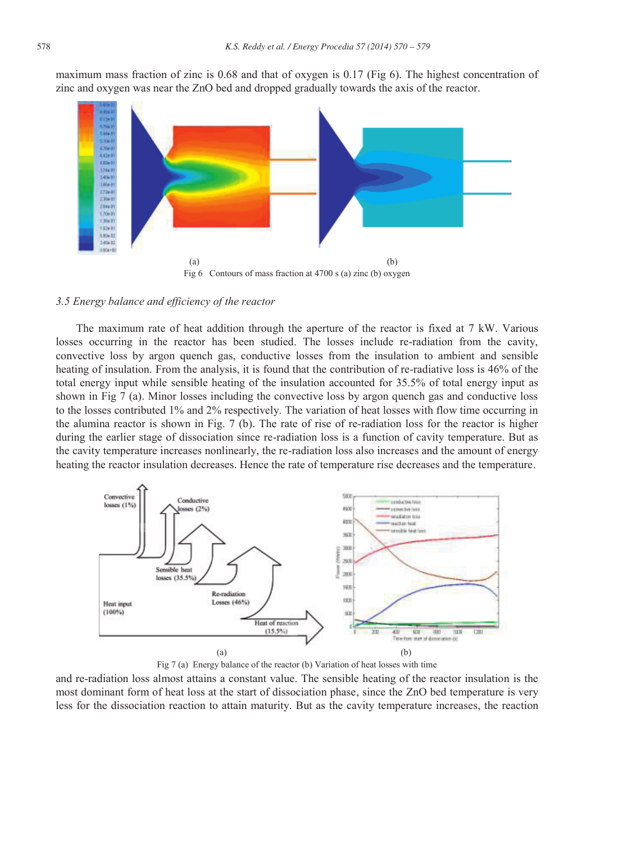maximum mass fraction of zinc is 0.68 and that of oxygen is 0.17 (Fig 6). The highest concentration of zinc and oxygen was near the ZnO bed and dropped gradually towards the axis of the reactor.



*3.5 Energy balance and efficiency of the reactor* 

The maximum rate of heat addition through the aperture of the reactor is fixed at 7 kW. Various losses occurring in the reactor has been studied. The losses include re-radiation from the cavity, convective loss by argon quench gas, conductive losses from the insulation to ambient and sensible heating of insulation. From the analysis, it is found that the contribution of re-radiative loss is 46% of the total energy input while sensible heating of the insulation accounted for 35.5% of total energy input as shown in Fig 7 (a). Minor losses including the convective loss by argon quench gas and conductive loss to the losses contributed 1% and 2% respectively. The variation of heat losses with flow time occurring in the alumina reactor is shown in Fig. 7 (b). The rate of rise of re-radiation loss for the reactor is higher during the earlier stage of dissociation since re-radiation loss is a function of cavity temperature. But as the cavity temperature increases nonlinearly, the re-radiation loss also increases and the amount of energy heating the reactor insulation decreases. Hence the rate of temperature rise decreases and the temperature.



Fig 7 (a) Energy balance of the reactor (b) Variation of heat losses with time

and re-radiation loss almost attains a constant value. The sensible heating of the reactor insulation is the most dominant form of heat loss at the start of dissociation phase, since the ZnO bed temperature is very less for the dissociation reaction to attain maturity. But as the cavity temperature increases, the reaction